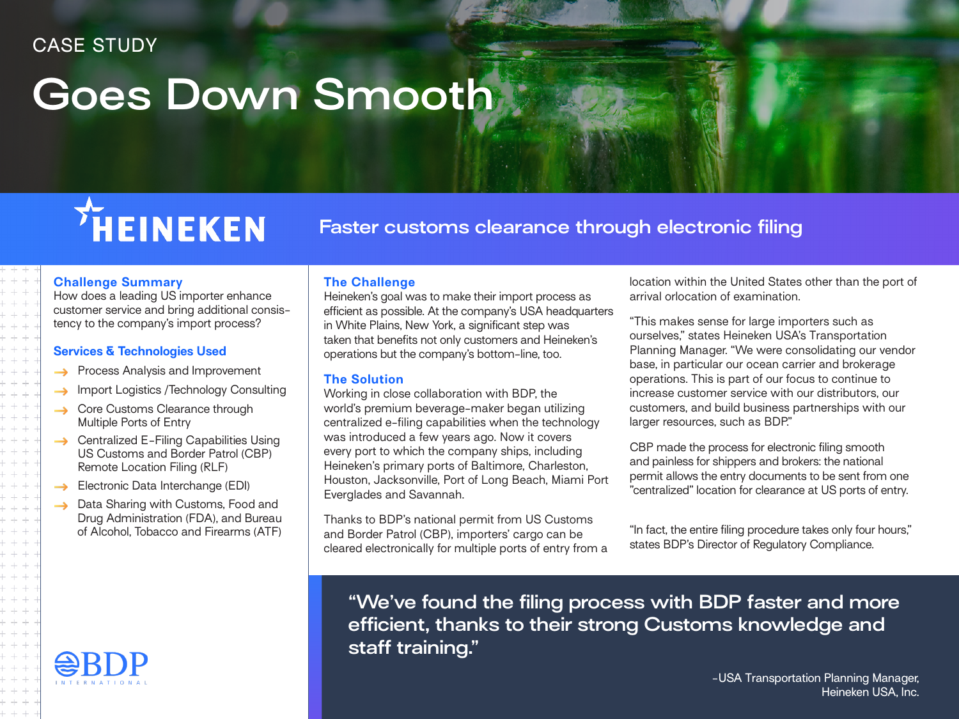### CASE STUDY

## **Goes Down Smooth**

# THEINEKEN

**Faster customs clearance through electronic filing**

#### **Challenge Summary**

How does a leading US importer enhance customer service and bring additional consistency to the company's import process?

#### **Services & Technologies Used**

- Process Analysis and Improvement
- Import Logistics /Technology Consulting  $\rightarrow$
- Core Customs Clearance through  $\rightarrow$ Multiple Ports of Entry
- Centralized E-Filing Capabilities Using US Customs and Border Patrol (CBP) Remote Location Filing (RLF)
- Electronic Data Interchange (EDI)  $\rightarrow$
- Data Sharing with Customs, Food and  $\rightarrow$ Drug Administration (FDA), and Bureau of Alcohol, Tobacco and Firearms (ATF)



#### **The Challenge**

Heineken's goal was to make their import process as efficient as possible. At the company's USA headquarters in White Plains, New York, a significant step was taken that benefits not only customers and Heineken's operations but the company's bottom-line, too.

#### **The Solution**

Working in close collaboration with BDP, the world's premium beverage-maker began utilizing centralized e-filing capabilities when the technology was introduced a few years ago. Now it covers every port to which the company ships, including Heineken's primary ports of Baltimore, Charleston, Houston, Jacksonville, Port of Long Beach, Miami Port Everglades and Savannah.

Thanks to BDP's national permit from US Customs and Border Patrol (CBP), importers' cargo can be cleared electronically for multiple ports of entry from a location within the United States other than the port of arrival orlocation of examination.

"This makes sense for large importers such as ourselves," states Heineken USA's Transportation Planning Manager. "We were consolidating our vendor base, in particular our ocean carrier and brokerage operations. This is part of our focus to continue to increase customer service with our distributors, our customers, and build business partnerships with our larger resources, such as BDP."

CBP made the process for electronic filing smooth and painless for shippers and brokers: the national permit allows the entry documents to be sent from one "centralized" location for clearance at US ports of entry.

"In fact, the entire filing procedure takes only four hours," states BDP's Director of Regulatory Compliance.

**"We've found the filing process with BDP faster and more efficient, thanks to their strong Customs knowledge and staff training."**